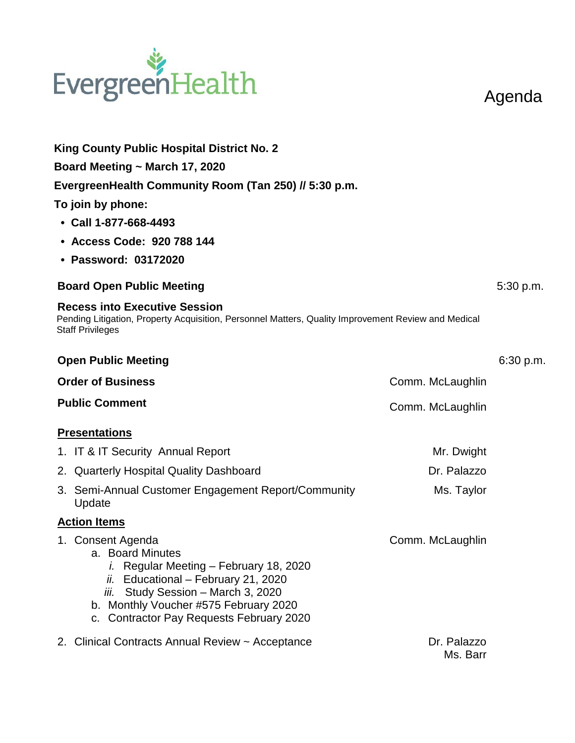## EvergreenHealth

Agenda

| <b>King County Public Hospital District No. 2</b>                                                                                                                                                                                                      |                         |           |
|--------------------------------------------------------------------------------------------------------------------------------------------------------------------------------------------------------------------------------------------------------|-------------------------|-----------|
| Board Meeting ~ March 17, 2020                                                                                                                                                                                                                         |                         |           |
| EvergreenHealth Community Room (Tan 250) // 5:30 p.m.                                                                                                                                                                                                  |                         |           |
| To join by phone:                                                                                                                                                                                                                                      |                         |           |
| $\cdot$ Call 1-877-668-4493                                                                                                                                                                                                                            |                         |           |
| • Access Code: 920 788 144                                                                                                                                                                                                                             |                         |           |
| • Password: 03172020                                                                                                                                                                                                                                   |                         |           |
| <b>Board Open Public Meeting</b>                                                                                                                                                                                                                       |                         | 5:30 p.m. |
| <b>Recess into Executive Session</b><br>Pending Litigation, Property Acquisition, Personnel Matters, Quality Improvement Review and Medical<br><b>Staff Privileges</b>                                                                                 |                         |           |
| <b>Open Public Meeting</b>                                                                                                                                                                                                                             |                         | 6:30 p.m. |
| <b>Order of Business</b>                                                                                                                                                                                                                               | Comm. McLaughlin        |           |
| <b>Public Comment</b>                                                                                                                                                                                                                                  | Comm. McLaughlin        |           |
| <b>Presentations</b>                                                                                                                                                                                                                                   |                         |           |
| 1. IT & IT Security Annual Report                                                                                                                                                                                                                      | Mr. Dwight              |           |
| 2. Quarterly Hospital Quality Dashboard                                                                                                                                                                                                                | Dr. Palazzo             |           |
| 3. Semi-Annual Customer Engagement Report/Community<br>Update                                                                                                                                                                                          | Ms. Taylor              |           |
| <b>Action Items</b>                                                                                                                                                                                                                                    |                         |           |
| 1. Consent Agenda<br>a. Board Minutes<br>i. Regular Meeting - February 18, 2020<br>Educational - February 21, 2020<br>ii.<br>Study Session - March 3, 2020<br>ÍЙ.<br>b. Monthly Voucher #575 February 2020<br>c. Contractor Pay Requests February 2020 | Comm. McLaughlin        |           |
| 2. Clinical Contracts Annual Review ~ Acceptance                                                                                                                                                                                                       | Dr. Palazzo<br>Ms. Barr |           |